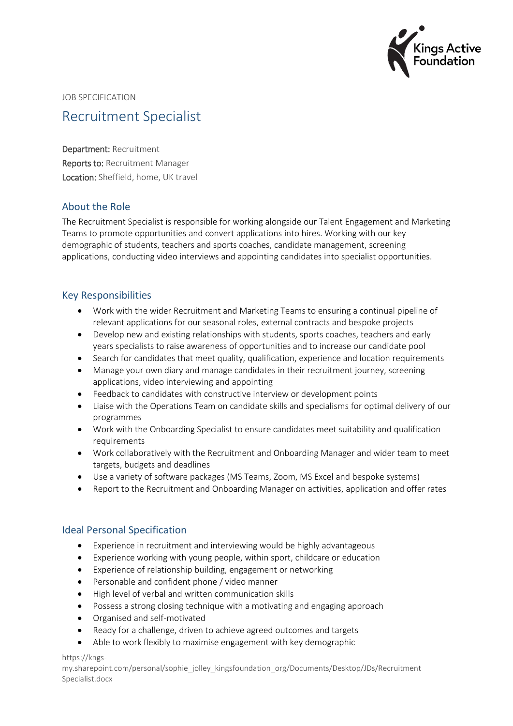

JOB SPECIFICATION

# Recruitment Specialist

Department: Recruitment Reports to: Recruitment Manager Location: Sheffield, home, UK travel

#### About the Role

The Recruitment Specialist is responsible for working alongside our Talent Engagement and Marketing Teams to promote opportunities and convert applications into hires. Working with our key demographic of students, teachers and sports coaches, candidate management, screening applications, conducting video interviews and appointing candidates into specialist opportunities.

#### Key Responsibilities

- Work with the wider Recruitment and Marketing Teams to ensuring a continual pipeline of relevant applications for our seasonal roles, external contracts and bespoke projects
- Develop new and existing relationships with students, sports coaches, teachers and early years specialists to raise awareness of opportunities and to increase our candidate pool
- Search for candidates that meet quality, qualification, experience and location requirements
- Manage your own diary and manage candidates in their recruitment journey, screening applications, video interviewing and appointing
- Feedback to candidates with constructive interview or development points
- Liaise with the Operations Team on candidate skills and specialisms for optimal delivery of our programmes
- Work with the Onboarding Specialist to ensure candidates meet suitability and qualification requirements
- Work collaboratively with the Recruitment and Onboarding Manager and wider team to meet targets, budgets and deadlines
- Use a variety of software packages (MS Teams, Zoom, MS Excel and bespoke systems)
- Report to the Recruitment and Onboarding Manager on activities, application and offer rates

#### Ideal Personal Specification

- Experience in recruitment and interviewing would be highly advantageous
- Experience working with young people, within sport, childcare or education
- Experience of relationship building, engagement or networking
- Personable and confident phone / video manner
- High level of verbal and written communication skills
- Possess a strong closing technique with a motivating and engaging approach
- Organised and self-motivated
- Ready for a challenge, driven to achieve agreed outcomes and targets
- Able to work flexibly to maximise engagement with key demographic

https://kngs-

my.sharepoint.com/personal/sophie\_jolley\_kingsfoundation\_org/Documents/Desktop/JDs/Recruitment Specialist.docx